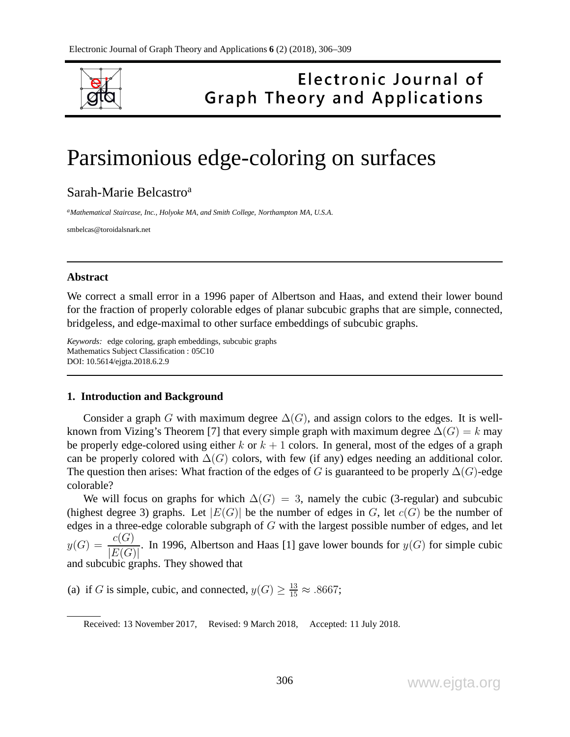

## Electronic Journal of **Graph Theory and Applications**

# Parsimonious edge-coloring on surfaces

### Sarah-Marie Belcastro<sup>a</sup>

*<sup>a</sup>Mathematical Staircase, Inc., Holyoke MA, and Smith College, Northampton MA, U.S.A.*

smbelcas@toroidalsnark.net

#### **Abstract**

We correct a small error in a 1996 paper of Albertson and Haas, and extend their lower bound for the fraction of properly colorable edges of planar subcubic graphs that are simple, connected, bridgeless, and edge-maximal to other surface embeddings of subcubic graphs.

*Keywords:* edge coloring, graph embeddings, subcubic graphs Mathematics Subject Classification : 05C10 DOI: 10.5614/ejgta.2018.6.2.9

#### **1. Introduction and Background**

Consider a graph G with maximum degree  $\Delta(G)$ , and assign colors to the edges. It is wellknown from Vizing's Theorem [7] that every simple graph with maximum degree  $\Delta(G) = k$  may be properly edge-colored using either k or  $k + 1$  colors. In general, most of the edges of a graph can be properly colored with  $\Delta(G)$  colors, with few (if any) edges needing an additional color. The question then arises: What fraction of the edges of G is guaranteed to be properly  $\Delta(G)$ -edge colorable?

We will focus on graphs for which  $\Delta(G) = 3$ , namely the cubic (3-regular) and subcubic (highest degree 3) graphs. Let  $|E(G)|$  be the number of edges in G, let  $c(G)$  be the number of edges in a three-edge colorable subgraph of G with the largest possible number of edges, and let  $y(G) = \frac{c(G)}{\sqrt{\sum(G)}}$  $|E(G)|$ . In 1996, Albertson and Haas [1] gave lower bounds for  $y(G)$  for simple cubic and subcubic graphs. They showed that

(a) if G is simple, cubic, and connected,  $y(G) \ge \frac{13}{15} \approx .8667$ ;

Received: 13 November 2017, Revised: 9 March 2018, Accepted: 11 July 2018.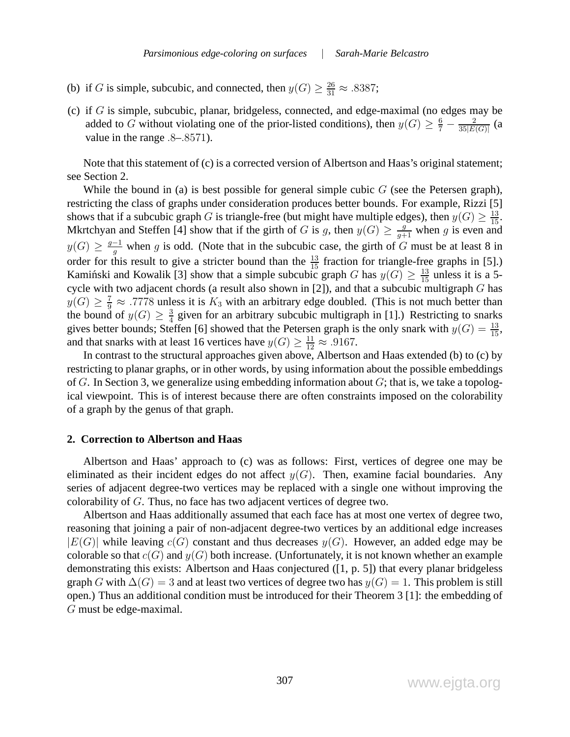- (b) if G is simple, subcubic, and connected, then  $y(G) \ge \frac{26}{31} \approx .8387$ ;
- (c) if  $G$  is simple, subcubic, planar, bridgeless, connected, and edge-maximal (no edges may be added to G without violating one of the prior-listed conditions), then  $y(G) \ge \frac{6}{7} - \frac{2}{35|E|}$  $\frac{2}{35|E(G)|}$  (a value in the range .8–.8571).

Note that this statement of (c) is a corrected version of Albertson and Haas's original statement; see Section 2.

While the bound in (a) is best possible for general simple cubic  $G$  (see the Petersen graph), restricting the class of graphs under consideration produces better bounds. For example, Rizzi [5] shows that if a subcubic graph G is triangle-free (but might have multiple edges), then  $y(G) \ge \frac{13}{15}$ . Mkrtchyan and Steffen [4] show that if the girth of G is g, then  $y(G) \geq \frac{g}{g+1}$  when g is even and  $y(G) \geq \frac{g-1}{a}$  $\frac{q}{g}$  when g is odd. (Note that in the subcubic case, the girth of G must be at least 8 in order for this result to give a stricter bound than the  $\frac{13}{15}$  fraction for triangle-free graphs in [5].) Kamintski and Kowalik [3] show that a simple subcubic graph G has  $y(G) \geq \frac{13}{15}$  unless it is a 5cycle with two adjacent chords (a result also shown in [2]), and that a subcubic multigraph G has  $y(G) \geq \frac{7}{9} \approx .7778$  unless it is  $K_3$  with an arbitrary edge doubled. (This is not much better than the bound of  $y(G) \geq \frac{3}{4}$  $\frac{3}{4}$  given for an arbitrary subcubic multigraph in [1].) Restricting to snarks gives better bounds; Steffen [6] showed that the Petersen graph is the only snark with  $y(G) = \frac{13}{15}$ , and that snarks with at least 16 vertices have  $y(G) \ge \frac{11}{12} \approx .9167$ .

In contrast to the structural approaches given above, Albertson and Haas extended (b) to (c) by restricting to planar graphs, or in other words, by using information about the possible embeddings of G. In Section 3, we generalize using embedding information about  $G$ ; that is, we take a topological viewpoint. This is of interest because there are often constraints imposed on the colorability of a graph by the genus of that graph.

#### **2. Correction to Albertson and Haas**

Albertson and Haas' approach to (c) was as follows: First, vertices of degree one may be eliminated as their incident edges do not affect  $y(G)$ . Then, examine facial boundaries. Any series of adjacent degree-two vertices may be replaced with a single one without improving the colorability of G. Thus, no face has two adjacent vertices of degree two.

Albertson and Haas additionally assumed that each face has at most one vertex of degree two, reasoning that joining a pair of non-adjacent degree-two vertices by an additional edge increases  $|E(G)|$  while leaving  $c(G)$  constant and thus decreases  $y(G)$ . However, an added edge may be colorable so that  $c(G)$  and  $y(G)$  both increase. (Unfortunately, it is not known whether an example demonstrating this exists: Albertson and Haas conjectured ([1, p. 5]) that every planar bridgeless graph G with  $\Delta(G) = 3$  and at least two vertices of degree two has  $y(G) = 1$ . This problem is still open.) Thus an additional condition must be introduced for their Theorem 3 [1]: the embedding of G must be edge-maximal.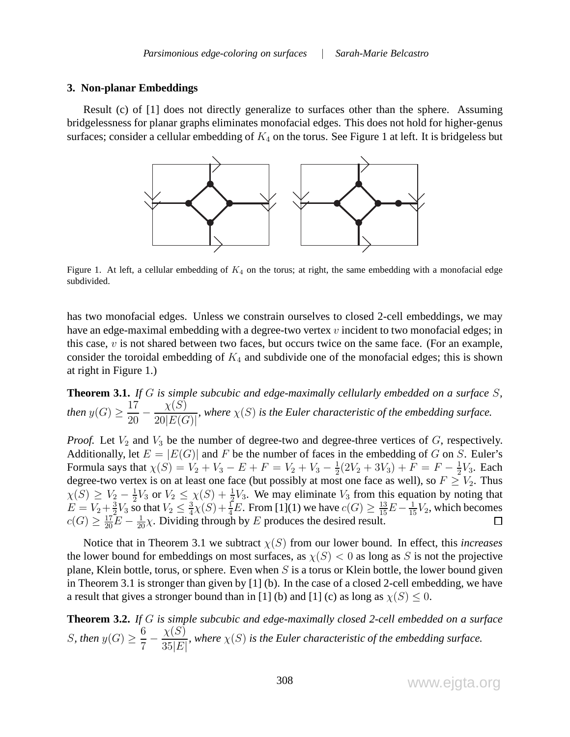#### **3. Non-planar Embeddings**

Result (c) of [1] does not directly generalize to surfaces other than the sphere. Assuming bridgelessness for planar graphs eliminates monofacial edges. This does not hold for higher-genus surfaces; consider a cellular embedding of  $K_4$  on the torus. See Figure 1 at left. It is bridgeless but



Figure 1. At left, a cellular embedding of  $K_4$  on the torus; at right, the same embedding with a monofacial edge subdivided.

has two monofacial edges. Unless we constrain ourselves to closed 2-cell embeddings, we may have an edge-maximal embedding with a degree-two vertex  $v$  incident to two monofacial edges; in this case,  $v$  is not shared between two faces, but occurs twice on the same face. (For an example, consider the toroidal embedding of  $K_4$  and subdivide one of the monofacial edges; this is shown at right in Figure 1.)

**Theorem 3.1.** *If* G *is simple subcubic and edge-maximally cellularly embedded on a surface* S*, then*  $y(G) \geq \frac{17}{20}$ 20 −  $\chi(S)$  $20|E(G)|$ *, where*  $\chi(S)$  *is the Euler characteristic of the embedding surface.* 

*Proof.* Let  $V_2$  and  $V_3$  be the number of degree-two and degree-three vertices of  $G$ , respectively. Additionally, let  $E = |E(G)|$  and F be the number of faces in the embedding of G on S. Euler's Formula says that  $\chi(S) = V_2 + V_3 - E + F = V_2 + V_3 - \frac{1}{2}$  $\frac{1}{2}(2V_2+3V_3)+F=F-\frac{1}{2}$  $\frac{1}{2}V_3$ . Each degree-two vertex is on at least one face (but possibly at most one face as well), so  $F \geq V_2$ . Thus  $\chi(S) \geq V_2 - \frac{1}{2}$  $\frac{1}{2}V_3$  or  $V_2 \leq \chi(S) + \frac{1}{2}V_3$ . We may eliminate  $V_3$  from this equation by noting that  $E = V_2 + \frac{3}{2}$  $\frac{3}{2}V_3$  so that  $V_2 \leq \frac{3}{4}$  $\frac{3}{4}\chi(S) + \frac{1}{4}E$ . From [1](1) we have  $c(G) \ge \frac{13}{15}E - \frac{1}{15}V_2$ , which becomes  $c(G) \geq \frac{17}{20}E - \frac{1}{20}\chi$ . Dividing through by E produces the desired result.

Notice that in Theorem 3.1 we subtract  $\chi(S)$  from our lower bound. In effect, this *increases* the lower bound for embeddings on most surfaces, as  $\chi(S) < 0$  as long as S is not the projective plane, Klein bottle, torus, or sphere. Even when  $S$  is a torus or Klein bottle, the lower bound given in Theorem 3.1 is stronger than given by [1] (b). In the case of a closed 2-cell embedding, we have a result that gives a stronger bound than in [1] (b) and [1] (c) as long as  $\chi(S) \leq 0$ .

**Theorem 3.2.** *If* G *is simple subcubic and edge-maximally closed 2-cell embedded on a surface S*, then  $y(G) \geq \frac{6}{5}$ 7 −  $\chi(S)$  $35\vert E\vert$ *, where* χ(S) *is the Euler characteristic of the embedding surface.*